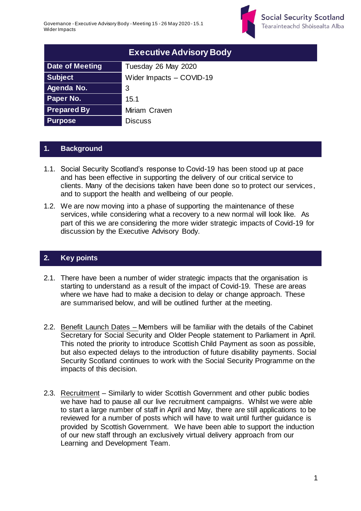

| <b>Executive Advisory Body</b> |                          |  |
|--------------------------------|--------------------------|--|
| Date of Meeting                | Tuesday 26 May 2020      |  |
| <b>Subject</b>                 | Wider Impacts - COVID-19 |  |
| Agenda No.                     | 3                        |  |
| <b>Paper No.</b>               | 15.1                     |  |
| <b>Prepared By</b>             | Miriam Craven            |  |
| <b>Purpose</b>                 | <b>Discuss</b>           |  |

## **1. Background**

- 1.1. Social Security Scotland's response to Covid-19 has been stood up at pace and has been effective in supporting the delivery of our critical service to clients. Many of the decisions taken have been done so to protect our services, and to support the health and wellbeing of our people.
- 1.2. We are now moving into a phase of supporting the maintenance of these services, while considering what a recovery to a new normal will look like. As part of this we are considering the more wider strategic impacts of Covid-19 for discussion by the Executive Advisory Body.

## **2. Key points**

- 2.1. There have been a number of wider strategic impacts that the organisation is starting to understand as a result of the impact of Covid-19. These are areas where we have had to make a decision to delay or change approach. These are summarised below, and will be outlined further at the meeting.
- 2.2. Benefit Launch Dates Members will be familiar with the details of the Cabinet Secretary for Social Security and Older People statement to Parliament in April. This noted the priority to introduce Scottish Child Payment as soon as possible, but also expected delays to the introduction of future disability payments. Social Security Scotland continues to work with the Social Security Programme on the impacts of this decision.
- 2.3. Recruitment Similarly to wider Scottish Government and other public bodies we have had to pause all our live recruitment campaigns. Whilst we were able to start a large number of staff in April and May, there are still applications to be reviewed for a number of posts which will have to wait until further guidance is provided by Scottish Government. We have been able to support the induction of our new staff through an exclusively virtual delivery approach from our Learning and Development Team.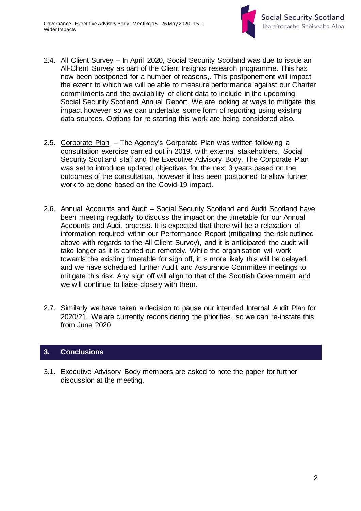

- 2.4. All Client Survey In April 2020, Social Security Scotland was due to issue an All-Client Survey as part of the Client Insights research programme. This has now been postponed for a number of reasons,. This postponement will impact the extent to which we will be able to measure performance against our Charter commitments and the availability of client data to include in the upcoming Social Security Scotland Annual Report. We are looking at ways to mitigate this impact however so we can undertake some form of reporting using existing data sources. Options for re-starting this work are being considered also.
- 2.5. Corporate Plan The Agency's Corporate Plan was written following a consultation exercise carried out in 2019, with external stakeholders, Social Security Scotland staff and the Executive Advisory Body. The Corporate Plan was set to introduce updated objectives for the next 3 years based on the outcomes of the consultation, however it has been postponed to allow further work to be done based on the Covid-19 impact.
- 2.6. Annual Accounts and Audit Social Security Scotland and Audit Scotland have been meeting regularly to discuss the impact on the timetable for our Annual Accounts and Audit process. It is expected that there will be a relaxation of information required within our Performance Report (mitigating the risk outlined above with regards to the All Client Survey), and it is anticipated the audit will take longer as it is carried out remotely. While the organisation will work towards the existing timetable for sign off, it is more likely this will be delayed and we have scheduled further Audit and Assurance Committee meetings to mitigate this risk. Any sign off will align to that of the Scottish Government and we will continue to liaise closely with them.
- 2.7. Similarly we have taken a decision to pause our intended Internal Audit Plan for 2020/21. We are currently reconsidering the priorities, so we can re-instate this from June 2020

## **3. Conclusions**

3.1. Executive Advisory Body members are asked to note the paper for further discussion at the meeting.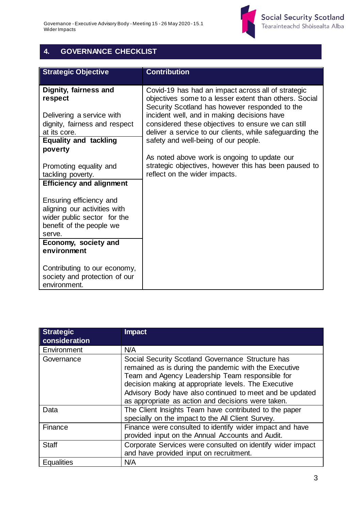

## **4. GOVERNANCE CHECKLIST**

| <b>Strategic Objective</b>                                                                                                   | <b>Contribution</b>                                                                                                                                            |
|------------------------------------------------------------------------------------------------------------------------------|----------------------------------------------------------------------------------------------------------------------------------------------------------------|
| Dignity, fairness and<br>respect                                                                                             | Covid-19 has had an impact across all of strategic<br>objectives some to a lesser extent than others. Social<br>Security Scotland has however responded to the |
| Delivering a service with                                                                                                    | incident well, and in making decisions have                                                                                                                    |
| dignity, fairness and respect                                                                                                | considered these objectives to ensure we can still                                                                                                             |
| at its core.                                                                                                                 | deliver a service to our clients, while safeguarding the                                                                                                       |
| <b>Equality and tackling</b><br>poverty                                                                                      | safety and well-being of our people.                                                                                                                           |
|                                                                                                                              | As noted above work is ongoing to update our                                                                                                                   |
| Promoting equality and                                                                                                       | strategic objectives, however this has been paused to                                                                                                          |
| tackling poverty.                                                                                                            | reflect on the wider impacts.                                                                                                                                  |
| <b>Efficiency and alignment</b>                                                                                              |                                                                                                                                                                |
| Ensuring efficiency and<br>aligning our activities with<br>wider public sector for the<br>benefit of the people we<br>serve. |                                                                                                                                                                |
| Economy, society and                                                                                                         |                                                                                                                                                                |
| environment                                                                                                                  |                                                                                                                                                                |
| Contributing to our economy,<br>society and protection of our<br>environment.                                                |                                                                                                                                                                |

| <b>Strategic</b><br>consideration | <b>Impact</b>                                                                                                                                                                                                                                                                                                                           |
|-----------------------------------|-----------------------------------------------------------------------------------------------------------------------------------------------------------------------------------------------------------------------------------------------------------------------------------------------------------------------------------------|
| Environment                       | N/A                                                                                                                                                                                                                                                                                                                                     |
| Governance                        | Social Security Scotland Governance Structure has<br>remained as is during the pandemic with the Executive<br>Team and Agency Leadership Team responsible for<br>decision making at appropriate levels. The Executive<br>Advisory Body have also continued to meet and be updated<br>as appropriate as action and decisions were taken. |
| Data                              | The Client Insights Team have contributed to the paper<br>specially on the impact to the All Client Survey.                                                                                                                                                                                                                             |
| Finance                           | Finance were consulted to identify wider impact and have<br>provided input on the Annual Accounts and Audit.                                                                                                                                                                                                                            |
| <b>Staff</b>                      | Corporate Services were consulted on identify wider impact<br>and have provided input on recruitment.                                                                                                                                                                                                                                   |
| <b>Equalities</b>                 | N/A                                                                                                                                                                                                                                                                                                                                     |